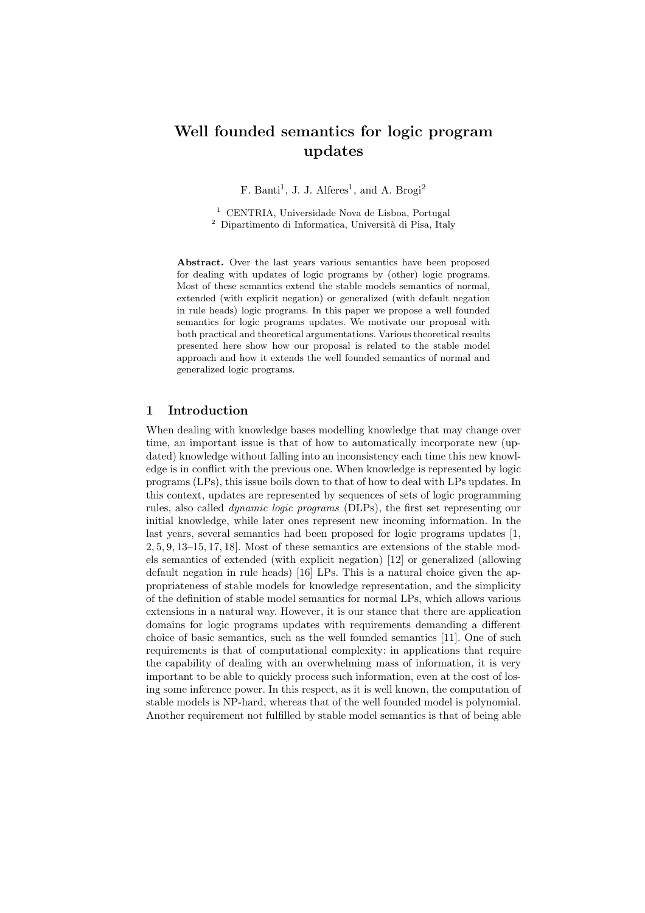# Well founded semantics for logic program updates

 $F.$  Banti<sup>1</sup>, J. J. Alferes<sup>1</sup>, and A. Brogi<sup>2</sup>

<sup>1</sup> CENTRIA, Universidade Nova de Lisboa, Portugal  $^2$  Dipartimento di Informatica, Università di Pisa, Italy

Abstract. Over the last years various semantics have been proposed for dealing with updates of logic programs by (other) logic programs. Most of these semantics extend the stable models semantics of normal, extended (with explicit negation) or generalized (with default negation in rule heads) logic programs. In this paper we propose a well founded semantics for logic programs updates. We motivate our proposal with both practical and theoretical argumentations. Various theoretical results presented here show how our proposal is related to the stable model approach and how it extends the well founded semantics of normal and generalized logic programs.

## 1 Introduction

When dealing with knowledge bases modelling knowledge that may change over time, an important issue is that of how to automatically incorporate new (updated) knowledge without falling into an inconsistency each time this new knowledge is in conflict with the previous one. When knowledge is represented by logic programs (LPs), this issue boils down to that of how to deal with LPs updates. In this context, updates are represented by sequences of sets of logic programming rules, also called dynamic logic programs (DLPs), the first set representing our initial knowledge, while later ones represent new incoming information. In the last years, several semantics had been proposed for logic programs updates [1, 2, 5, 9, 13–15, 17, 18]. Most of these semantics are extensions of the stable models semantics of extended (with explicit negation) [12] or generalized (allowing default negation in rule heads) [16] LPs. This is a natural choice given the appropriateness of stable models for knowledge representation, and the simplicity of the definition of stable model semantics for normal LPs, which allows various extensions in a natural way. However, it is our stance that there are application domains for logic programs updates with requirements demanding a different choice of basic semantics, such as the well founded semantics [11]. One of such requirements is that of computational complexity: in applications that require the capability of dealing with an overwhelming mass of information, it is very important to be able to quickly process such information, even at the cost of losing some inference power. In this respect, as it is well known, the computation of stable models is NP-hard, whereas that of the well founded model is polynomial. Another requirement not fulfilled by stable model semantics is that of being able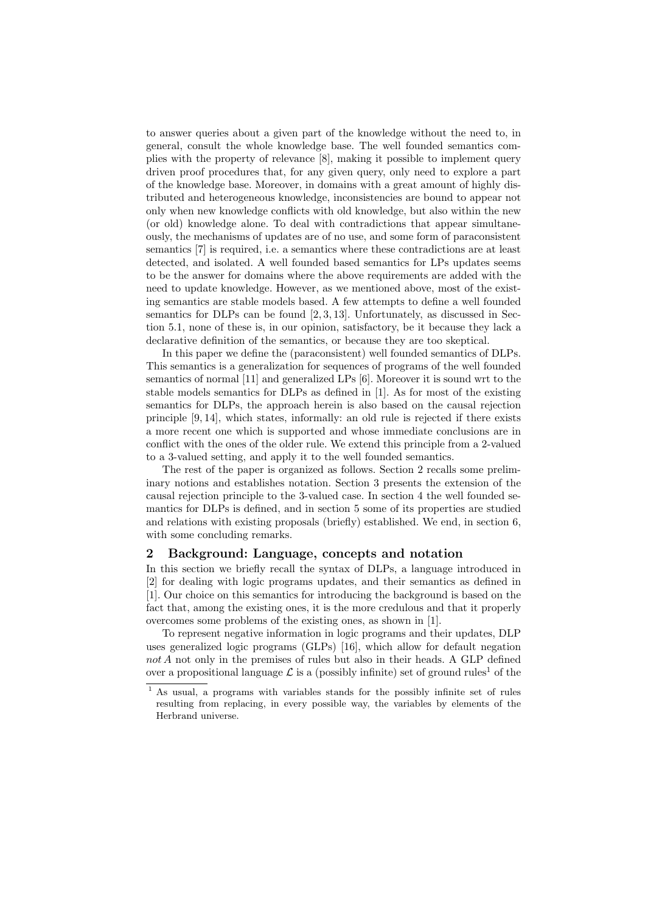to answer queries about a given part of the knowledge without the need to, in general, consult the whole knowledge base. The well founded semantics complies with the property of relevance [8], making it possible to implement query driven proof procedures that, for any given query, only need to explore a part of the knowledge base. Moreover, in domains with a great amount of highly distributed and heterogeneous knowledge, inconsistencies are bound to appear not only when new knowledge conflicts with old knowledge, but also within the new (or old) knowledge alone. To deal with contradictions that appear simultaneously, the mechanisms of updates are of no use, and some form of paraconsistent semantics [7] is required, i.e. a semantics where these contradictions are at least detected, and isolated. A well founded based semantics for LPs updates seems to be the answer for domains where the above requirements are added with the need to update knowledge. However, as we mentioned above, most of the existing semantics are stable models based. A few attempts to define a well founded semantics for DLPs can be found [2, 3, 13]. Unfortunately, as discussed in Section 5.1, none of these is, in our opinion, satisfactory, be it because they lack a declarative definition of the semantics, or because they are too skeptical.

In this paper we define the (paraconsistent) well founded semantics of DLPs. This semantics is a generalization for sequences of programs of the well founded semantics of normal [11] and generalized LPs [6]. Moreover it is sound wrt to the stable models semantics for DLPs as defined in [1]. As for most of the existing semantics for DLPs, the approach herein is also based on the causal rejection principle [9, 14], which states, informally: an old rule is rejected if there exists a more recent one which is supported and whose immediate conclusions are in conflict with the ones of the older rule. We extend this principle from a 2-valued to a 3-valued setting, and apply it to the well founded semantics.

The rest of the paper is organized as follows. Section 2 recalls some preliminary notions and establishes notation. Section 3 presents the extension of the causal rejection principle to the 3-valued case. In section 4 the well founded semantics for DLPs is defined, and in section 5 some of its properties are studied and relations with existing proposals (briefly) established. We end, in section 6, with some concluding remarks.

## 2 Background: Language, concepts and notation

In this section we briefly recall the syntax of DLPs, a language introduced in [2] for dealing with logic programs updates, and their semantics as defined in [1]. Our choice on this semantics for introducing the background is based on the fact that, among the existing ones, it is the more credulous and that it properly overcomes some problems of the existing ones, as shown in [1].

To represent negative information in logic programs and their updates, DLP uses generalized logic programs (GLPs) [16], which allow for default negation not A not only in the premises of rules but also in their heads. A GLP defined over a propositional language  $\mathcal L$  is a (possibly infinite) set of ground rules<sup>1</sup> of the

<sup>1</sup> As usual, a programs with variables stands for the possibly infinite set of rules resulting from replacing, in every possible way, the variables by elements of the Herbrand universe.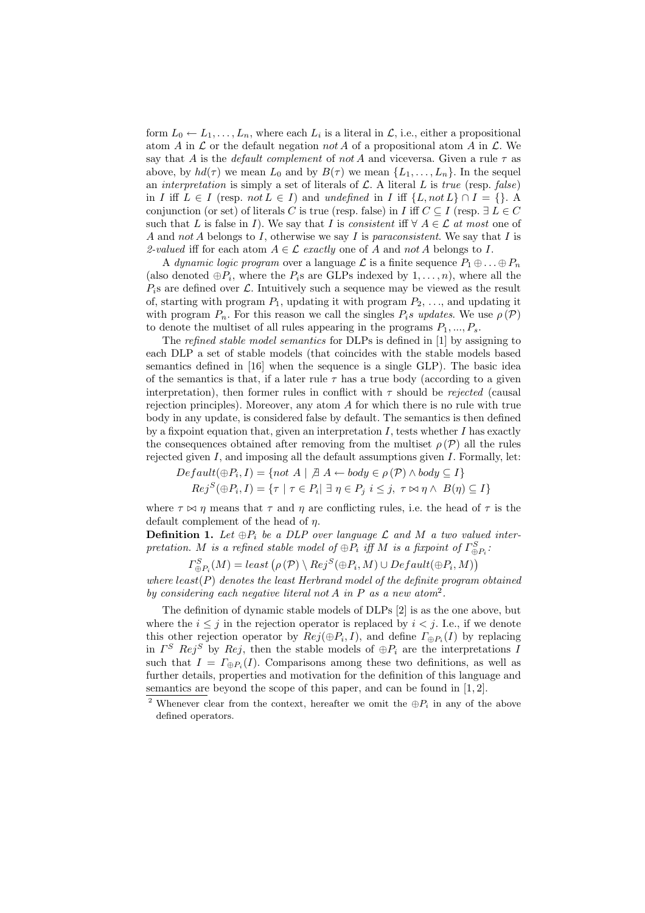form  $L_0 \leftarrow L_1, \ldots, L_n$ , where each  $L_i$  is a literal in  $\mathcal{L}$ , i.e., either a propositional atom A in  $\mathcal L$  or the default negation not A of a propositional atom A in  $\mathcal L$ . We say that A is the *default complement* of not A and viceversa. Given a rule  $\tau$  as above, by  $hd(\tau)$  we mean  $L_0$  and by  $B(\tau)$  we mean  $\{L_1,\ldots,L_n\}$ . In the sequel an interpretation is simply a set of literals of  $\mathcal{L}$ . A literal L is true (resp. false) in I iff  $L \in I$  (resp. not  $L \in I$ ) and undefined in I iff  $\{L, not L\} \cap I = \{\}.$  A conjunction (or set) of literals C is true (resp. false) in I iff  $C \subseteq I$  (resp.  $\exists L \in C$ such that L is false in I). We say that I is consistent iff  $\forall A \in \mathcal{L}$  at most one of A and not A belongs to I, otherwise we say I is paraconsistent. We say that I is 2-valued iff for each atom  $A \in \mathcal{L}$  exactly one of A and not A belongs to I.

A dynamic logic program over a language  $\mathcal L$  is a finite sequence  $P_1 \oplus \ldots \oplus P_n$ (also denoted  $\oplus P_i$ , where the  $P_i$ s are GLPs indexed by  $1, \ldots, n$ ), where all the  $P_i$ s are defined over  $\mathcal{L}$ . Intuitively such a sequence may be viewed as the result of, starting with program  $P_1$ , updating it with program  $P_2$ , ..., and updating it with program  $P_n$ . For this reason we call the singles  $P_i$ s updates. We use  $\rho(\mathcal{P})$ to denote the multiset of all rules appearing in the programs  $P_1, ..., P_s$ .

The refined stable model semantics for DLPs is defined in [1] by assigning to each DLP a set of stable models (that coincides with the stable models based semantics defined in [16] when the sequence is a single GLP). The basic idea of the semantics is that, if a later rule  $\tau$  has a true body (according to a given interpretation), then former rules in conflict with  $\tau$  should be *rejected* (causal rejection principles). Moreover, any atom A for which there is no rule with true body in any update, is considered false by default. The semantics is then defined by a fixpoint equation that, given an interpretation  $I$ , tests whether  $I$  has exactly the consequences obtained after removing from the multiset  $\rho(\mathcal{P})$  all the rules rejected given  $I$ , and imposing all the default assumptions given  $I$ . Formally, let:

$$
Default(\oplus P_i, I) = \{ not \ A \mid \ \nexists \ A \leftarrow body \in \rho(\mathcal{P}) \land body \subseteq I \}
$$
\n
$$
Rej^S(\oplus P_i, I) = \{ \tau \mid \tau \in P_i \mid \exists \ \eta \in P_j \ i \le j, \ \tau \bowtie \eta \land \ B(\eta) \subseteq I \}
$$

where  $\tau \bowtie \eta$  means that  $\tau$  and  $\eta$  are conflicting rules, i.e. the head of  $\tau$  is the default complement of the head of  $\eta$ .

**Definition 1.** Let  $\oplus P_i$  be a DLP over language L and M a two valued interpretation. M is a refined stable model of  $\oplus P_i$  iff M is a fixpoint of  $\varGamma_{\oplus P_i}^S$ :

$$
\Gamma_{\oplus P_i}^S(M) = least\left(\rho\left(\mathcal{P}\right) \setminus Rej^S(\oplus P_i, M)\cup Default(\oplus P_i, M)\right)
$$

where  $least(P)$  denotes the least Herbrand model of the definite program obtained by considering each negative literal not A in P as a new atom<sup>2</sup>.

The definition of dynamic stable models of DLPs [2] is as the one above, but where the  $i \leq j$  in the rejection operator is replaced by  $i \leq j$ . I.e., if we denote this other rejection operator by  $Rej(\oplus P_i, I)$ , and define  $\Gamma_{\oplus P_i}(I)$  by replacing in  $\Gamma^S$  Rej<sup>S</sup> by Rej, then the stable models of  $\oplus P_i$  are the interpretations I such that  $I = \Gamma_{\oplus P_i}(I)$ . Comparisons among these two definitions, as well as further details, properties and motivation for the definition of this language and semantics are beyond the scope of this paper, and can be found in [1, 2].

<sup>&</sup>lt;sup>2</sup> Whenever clear from the context, hereafter we omit the  $\oplus P_i$  in any of the above defined operators.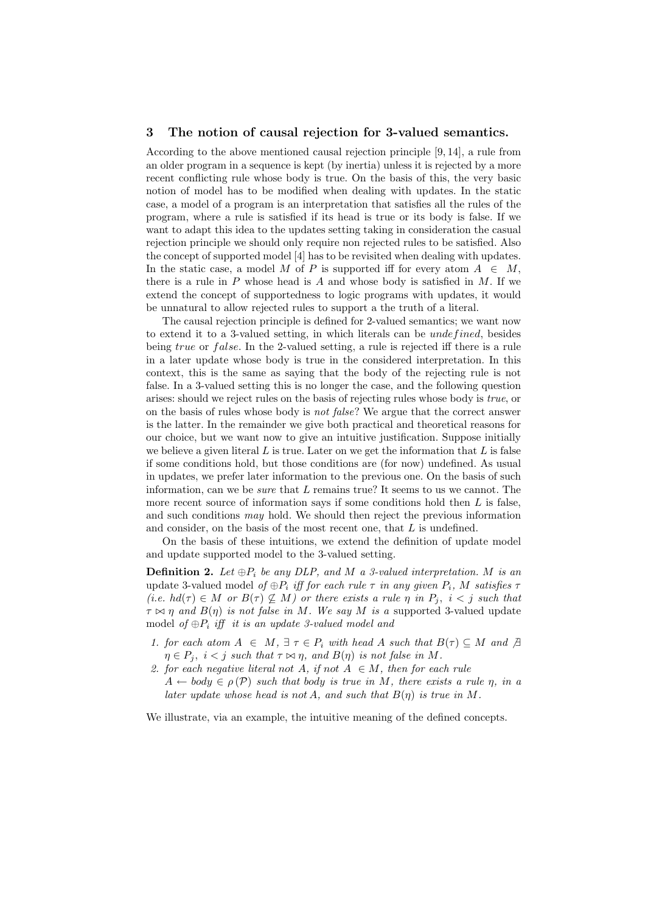#### 3 The notion of causal rejection for 3-valued semantics.

According to the above mentioned causal rejection principle [9, 14], a rule from an older program in a sequence is kept (by inertia) unless it is rejected by a more recent conflicting rule whose body is true. On the basis of this, the very basic notion of model has to be modified when dealing with updates. In the static case, a model of a program is an interpretation that satisfies all the rules of the program, where a rule is satisfied if its head is true or its body is false. If we want to adapt this idea to the updates setting taking in consideration the casual rejection principle we should only require non rejected rules to be satisfied. Also the concept of supported model [4] has to be revisited when dealing with updates. In the static case, a model M of P is supported iff for every atom  $A \in M$ , there is a rule in  $P$  whose head is  $A$  and whose body is satisfied in  $M$ . If we extend the concept of supportedness to logic programs with updates, it would be unnatural to allow rejected rules to support a the truth of a literal.

The causal rejection principle is defined for 2-valued semantics; we want now to extend it to a 3-valued setting, in which literals can be undefined, besides being true or false. In the 2-valued setting, a rule is rejected iff there is a rule in a later update whose body is true in the considered interpretation. In this context, this is the same as saying that the body of the rejecting rule is not false. In a 3-valued setting this is no longer the case, and the following question arises: should we reject rules on the basis of rejecting rules whose body is true, or on the basis of rules whose body is not false? We argue that the correct answer is the latter. In the remainder we give both practical and theoretical reasons for our choice, but we want now to give an intuitive justification. Suppose initially we believe a given literal  $L$  is true. Later on we get the information that  $L$  is false if some conditions hold, but those conditions are (for now) undefined. As usual in updates, we prefer later information to the previous one. On the basis of such information, can we be *sure* that  $L$  remains true? It seems to us we cannot. The more recent source of information says if some conditions hold then  $L$  is false, and such conditions may hold. We should then reject the previous information and consider, on the basis of the most recent one, that L is undefined.

On the basis of these intuitions, we extend the definition of update model and update supported model to the 3-valued setting.

**Definition 2.** Let  $\oplus P_i$  be any DLP, and M a 3-valued interpretation. M is an update 3-valued model of  $\oplus P_i$  iff for each rule  $\tau$  in any given  $P_i$ , M satisfies  $\tau$ (i.e.  $hd(\tau) \in M$  or  $B(\tau) \not\subseteq M$ ) or there exists a rule  $\eta$  in  $P_i$ ,  $i < j$  such that  $\tau \bowtie \eta$  and  $B(\eta)$  is not false in M. We say M is a supported 3-valued update model of  $\oplus P_i$  iff it is an update 3-valued model and

- 1. for each atom  $A \in M$ ,  $\exists \tau \in P_i$  with head A such that  $B(\tau) \subseteq M$  and  $\forall \tau$  $\eta \in P_j$ ,  $i < j$  such that  $\tau \bowtie \eta$ , and  $B(\eta)$  is not false in M.
- 2. for each negative literal not A, if not  $A \in M$ , then for each rule  $A \leftarrow body \in \rho(\mathcal{P})$  such that body is true in M, there exists a rule  $\eta$ , in a later update whose head is not A, and such that  $B(\eta)$  is true in M.

We illustrate, via an example, the intuitive meaning of the defined concepts.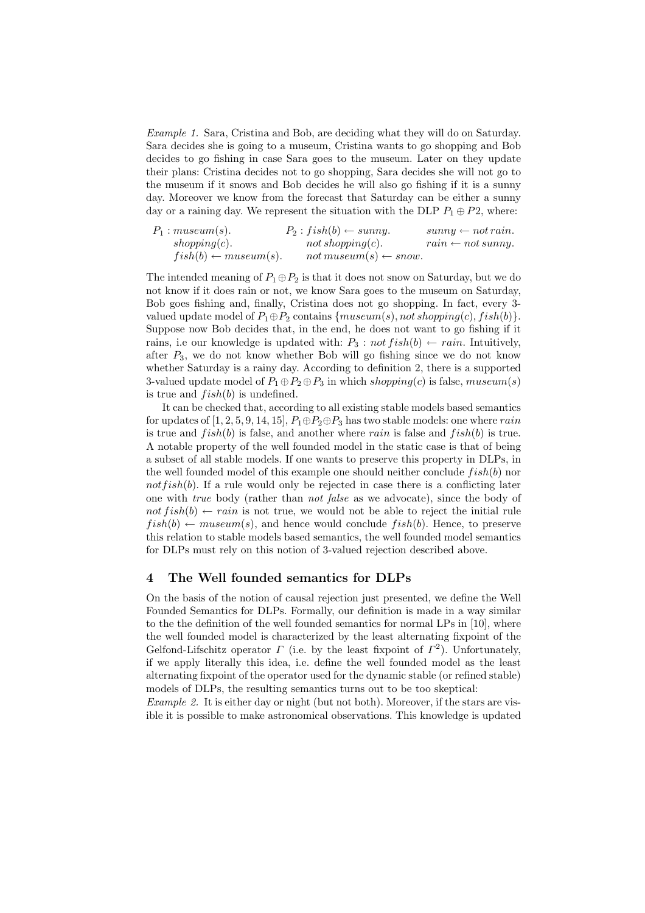Example 1. Sara, Cristina and Bob, are deciding what they will do on Saturday. Sara decides she is going to a museum, Cristina wants to go shopping and Bob decides to go fishing in case Sara goes to the museum. Later on they update their plans: Cristina decides not to go shopping, Sara decides she will not go to the museum if it snows and Bob decides he will also go fishing if it is a sunny day. Moreover we know from the forecast that Saturday can be either a sunny day or a raining day. We represent the situation with the DLP  $P_1 \oplus P_2$ , where:

| $P_1: museum(s).$               | $P_2: fish(b) \leftarrow sunny.$  | $sumny \leftarrow not\, rain.$   |
|---------------------------------|-----------------------------------|----------------------------------|
| $shopping(c)$ .                 | not shopping $(c)$ .              | $rain \leftarrow not \, sun\nu.$ |
| $fish(b) \leftarrow museum(s).$ | not museum(s) $\leftarrow snow$ . |                                  |

The intended meaning of  $P_1 \oplus P_2$  is that it does not snow on Saturday, but we do not know if it does rain or not, we know Sara goes to the museum on Saturday, Bob goes fishing and, finally, Cristina does not go shopping. In fact, every 3 valued update model of  $P_1 \oplus P_2$  contains {*museum(s),not shopping(c),fish(b)*}. Suppose now Bob decides that, in the end, he does not want to go fishing if it rains, i.e our knowledge is updated with:  $P_3$  : not fish(b)  $\leftarrow$  rain. Intuitively, after  $P_3$ , we do not know whether Bob will go fishing since we do not know whether Saturday is a rainy day. According to definition 2, there is a supported 3-valued update model of  $P_1 \oplus P_2 \oplus P_3$  in which shopping(c) is false, museum(s) is true and  $fish(b)$  is undefined.

It can be checked that, according to all existing stable models based semantics for updates of [1, 2, 5, 9, 14, 15],  $P_1 \oplus P_2 \oplus P_3$  has two stable models: one where rain is true and  $fish(b)$  is false, and another where rain is false and  $fish(b)$  is true. A notable property of the well founded model in the static case is that of being a subset of all stable models. If one wants to preserve this property in DLPs, in the well founded model of this example one should neither conclude  $fish(b)$  nor  $notfish(b)$ . If a rule would only be rejected in case there is a conflicting later one with true body (rather than not false as we advocate), since the body of not fish(b)  $\leftarrow$  rain is not true, we would not be able to reject the initial rule  $fish(b) \leftarrow museum(s)$ , and hence would conclude  $fish(b)$ . Hence, to preserve this relation to stable models based semantics, the well founded model semantics for DLPs must rely on this notion of 3-valued rejection described above.

# 4 The Well founded semantics for DLPs

On the basis of the notion of causal rejection just presented, we define the Well Founded Semantics for DLPs. Formally, our definition is made in a way similar to the the definition of the well founded semantics for normal LPs in [10], where the well founded model is characterized by the least alternating fixpoint of the Gelfond-Lifschitz operator  $\Gamma$  (i.e. by the least fixpoint of  $\Gamma^2$ ). Unfortunately, if we apply literally this idea, i.e. define the well founded model as the least alternating fixpoint of the operator used for the dynamic stable (or refined stable) models of DLPs, the resulting semantics turns out to be too skeptical:

Example 2. It is either day or night (but not both). Moreover, if the stars are visible it is possible to make astronomical observations. This knowledge is updated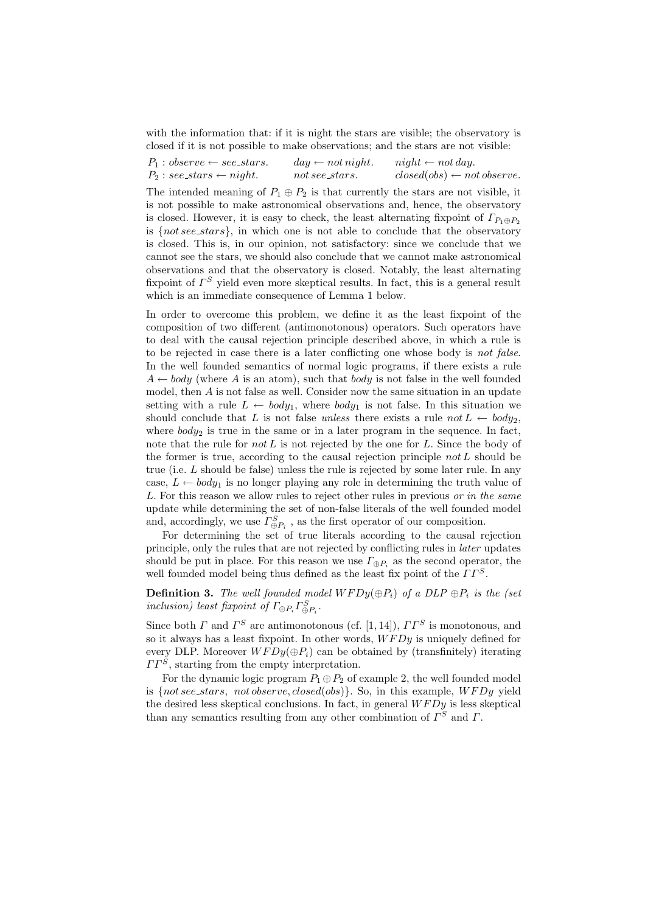with the information that: if it is night the stars are visible; the observatory is closed if it is not possible to make observations; and the stars are not visible:

| $P_1: observe \leftarrow see \; stars.$ | $day \leftarrow not \, night.$ | $night \leftarrow not day.$           |
|-----------------------------------------|--------------------------------|---------------------------------------|
| $P_2$ : see_stars $\leftarrow$ night.   | not see stars.                 | $closed(obs) \leftarrow not observe.$ |

The intended meaning of  $P_1 \oplus P_2$  is that currently the stars are not visible, it is not possible to make astronomical observations and, hence, the observatory is closed. However, it is easy to check, the least alternating fixpoint of  $\Gamma_{P_1\oplus P_2}$ is  $\{not \; \text{se} \; \text{stars} \}$ , in which one is not able to conclude that the observatory is closed. This is, in our opinion, not satisfactory: since we conclude that we cannot see the stars, we should also conclude that we cannot make astronomical observations and that the observatory is closed. Notably, the least alternating fixpoint of  $\Gamma^S$  yield even more skeptical results. In fact, this is a general result which is an immediate consequence of Lemma 1 below.

In order to overcome this problem, we define it as the least fixpoint of the composition of two different (antimonotonous) operators. Such operators have to deal with the causal rejection principle described above, in which a rule is to be rejected in case there is a later conflicting one whose body is not false. In the well founded semantics of normal logic programs, if there exists a rule  $A \leftarrow body$  (where A is an atom), such that body is not false in the well founded model, then  $A$  is not false as well. Consider now the same situation in an update setting with a rule  $L \leftarrow body_1$ , where  $body_1$  is not false. In this situation we should conclude that L is not false unless there exists a rule not  $L \leftarrow body_2$ , where  $body_2$  is true in the same or in a later program in the sequence. In fact, note that the rule for  $not L$  is not rejected by the one for  $L$ . Since the body of the former is true, according to the causal rejection principle  $not L$  should be true (i.e. L should be false) unless the rule is rejected by some later rule. In any case,  $L \leftarrow body_1$  is no longer playing any role in determining the truth value of L. For this reason we allow rules to reject other rules in previous or in the same update while determining the set of non-false literals of the well founded model and, accordingly, we use  $\Gamma^S_{\oplus P_i}$ , as the first operator of our composition.

For determining the set of true literals according to the causal rejection principle, only the rules that are not rejected by conflicting rules in later updates should be put in place. For this reason we use  $\Gamma_{\oplus P_i}$  as the second operator, the well founded model being thus defined as the least fix point of the  $\Gamma\Gamma^S$ .

**Definition 3.** The well founded model  $WFDy(\bigoplus P_i)$  of a DLP  $\bigoplus P_i$  is the (set inclusion) least fixpoint of  $\Gamma_{\oplus P_i} \Gamma^S_{\oplus P_i}$ .

Since both  $\Gamma$  and  $\Gamma^S$  are antimonotonous (cf. [1, 14]),  $\Gamma \Gamma^S$  is monotonous, and so it always has a least fixpoint. In other words,  $WFDy$  is uniquely defined for every DLP. Moreover  $WFDy(\bigoplus P_i)$  can be obtained by (transfinitely) iterating  $\Gamma\Gamma^S$ , starting from the empty interpretation.

For the dynamic logic program  $P_1 \oplus P_2$  of example 2, the well founded model is  ${not \, sec\_stars, \, not \, observe, closed(obs)}.$  So, in this example,  $WFDy$  yield the desired less skeptical conclusions. In fact, in general  $WFDy$  is less skeptical than any semantics resulting from any other combination of  $\Gamma^S$  and  $\Gamma$ .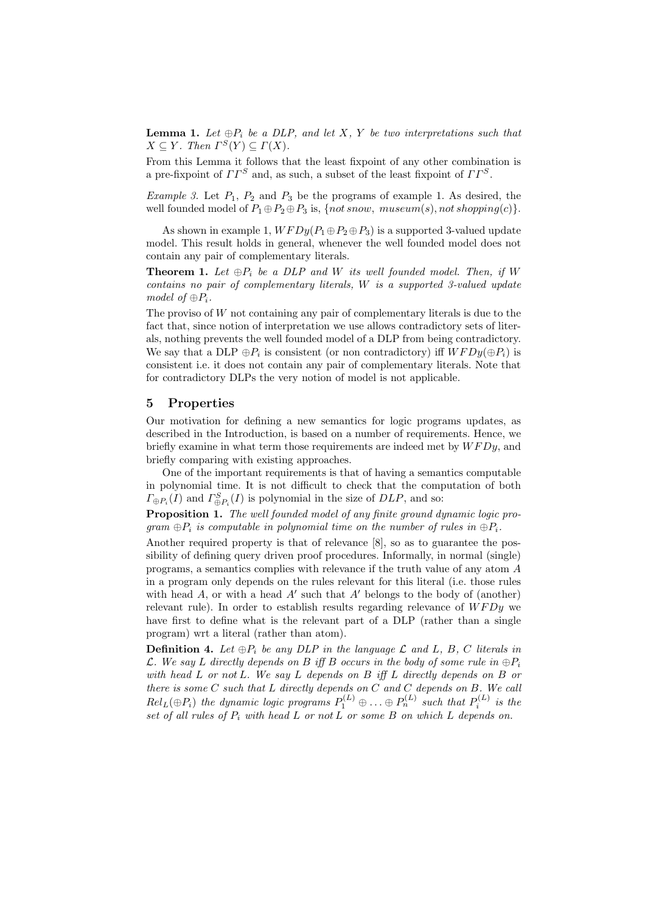**Lemma 1.** Let  $\oplus P_i$  be a DLP, and let X, Y be two interpretations such that  $X \subseteq Y$ . Then  $\Gamma^{S}(Y) \subseteq \Gamma(X)$ .

From this Lemma it follows that the least fixpoint of any other combination is a pre-fixpoint of  $\Gamma\Gamma^S$  and, as such, a subset of the least fixpoint of  $\Gamma\Gamma^S$ .

Example 3. Let  $P_1$ ,  $P_2$  and  $P_3$  be the programs of example 1. As desired, the well founded model of  $P_1 \oplus P_2 \oplus P_3$  is, {not snow, museum(s), not shopping(c)}.

As shown in example 1,  $WFDy(P_1 \oplus P_2 \oplus P_3)$  is a supported 3-valued update model. This result holds in general, whenever the well founded model does not contain any pair of complementary literals.

**Theorem 1.** Let  $\oplus P_i$  be a DLP and W its well founded model. Then, if W contains no pair of complementary literals, W is a supported 3-valued update model of  $\oplus P_i$ .

The proviso of  $W$  not containing any pair of complementary literals is due to the fact that, since notion of interpretation we use allows contradictory sets of literals, nothing prevents the well founded model of a DLP from being contradictory. We say that a DLP  $\oplus P_i$  is consistent (or non contradictory) iff  $WFDy(\oplus P_i)$  is consistent i.e. it does not contain any pair of complementary literals. Note that for contradictory DLPs the very notion of model is not applicable.

#### 5 Properties

Our motivation for defining a new semantics for logic programs updates, as described in the Introduction, is based on a number of requirements. Hence, we briefly examine in what term those requirements are indeed met by  $WFDy$ , and briefly comparing with existing approaches.

One of the important requirements is that of having a semantics computable in polynomial time. It is not difficult to check that the computation of both  $\Gamma_{\oplus P_i}(I)$  and  $\Gamma_{\oplus P_i}^S(I)$  is polynomial in the size of  $DLP$ , and so:

**Proposition 1.** The well founded model of any finite ground dynamic logic program  $\oplus P_i$  is computable in polynomial time on the number of rules in  $\oplus P_i$ .

Another required property is that of relevance [8], so as to guarantee the possibility of defining query driven proof procedures. Informally, in normal (single) programs, a semantics complies with relevance if the truth value of any atom A in a program only depends on the rules relevant for this literal (i.e. those rules with head  $A$ , or with a head  $A'$  such that  $A'$  belongs to the body of (another) relevant rule). In order to establish results regarding relevance of  $WFDy$  we have first to define what is the relevant part of a DLP (rather than a single program) wrt a literal (rather than atom).

**Definition 4.** Let  $\oplus P_i$  be any DLP in the language  $\mathcal{L}$  and  $L, B, C$  literals in L. We say L directly depends on B iff B occurs in the body of some rule in  $\oplus P_i$ with head L or not L. We say L depends on B iff L directly depends on B or there is some  $C$  such that  $L$  directly depends on  $C$  and  $C$  depends on  $B$ . We call  $Rel_L(\oplus P_i)$  the dynamic logic programs  $P_1^{(L)} \oplus ... \oplus P_n^{(L)}$  such that  $P_i^{(L)}$  is the set of all rules of  $P_i$  with head  $L$  or not  $L$  or some  $B$  on which  $L$  depends on.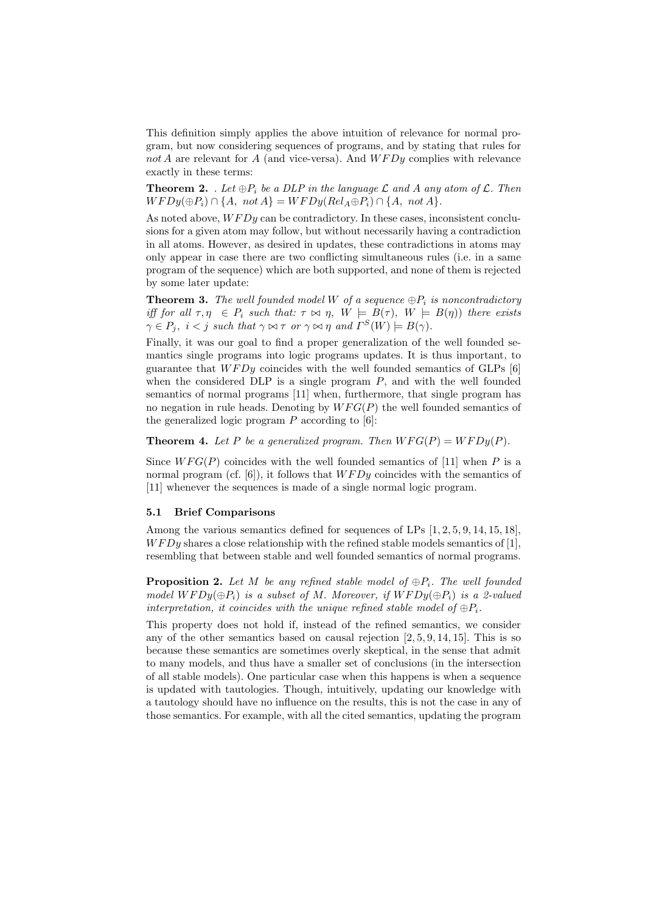This definition simply applies the above intuition of relevance for normal program, but now considering sequences of programs, and by stating that rules for not A are relevant for A (and vice-versa). And  $WFDy$  complies with relevance exactly in these terms:

**Theorem 2.** . Let  $\oplus P_i$  be a DLP in the language L and A any atom of L. Then  $WFDy(\oplus P_i) \cap \{A, not A\} = WFDy(Rel_A \oplus P_i) \cap \{A, not A\}.$ 

As noted above, WFDy can be contradictory. In these cases, inconsistent conclusions for a given atom may follow, but without necessarily having a contradiction in all atoms. However, as desired in updates, these contradictions in atoms may only appear in case there are two conflicting simultaneous rules (i.e. in a same program of the sequence) which are both supported, and none of them is rejected by some later update:

**Theorem 3.** The well founded model W of a sequence  $\oplus P_i$  is noncontradictory iff for all  $\tau, \eta \in P_i$  such that:  $\tau \bowtie \eta$ ,  $W \models B(\tau)$ ,  $W \models B(\eta)$ ) there exists  $\gamma \in P_j$ ,  $i < j$  such that  $\gamma \bowtie \tau$  or  $\gamma \bowtie \eta$  and  $\Gamma^S(W) \models B(\gamma)$ .

Finally, it was our goal to find a proper generalization of the well founded semantics single programs into logic programs updates. It is thus important, to guarantee that  $WFDy$  coincides with the well founded semantics of GLPs [6] when the considered DLP is a single program  $P$ , and with the well founded semantics of normal programs [11] when, furthermore, that single program has no negation in rule heads. Denoting by  $WFG(P)$  the well founded semantics of the generalized logic program  $P$  according to  $[6]$ :

**Theorem 4.** Let P be a generalized program. Then  $WFG(P) = WFDy(P)$ .

Since  $WFG(P)$  coincides with the well founded semantics of [11] when P is a normal program (cf. [6]), it follows that  $WFDy$  coincides with the semantics of [11] whenever the sequences is made of a single normal logic program.

#### 5.1 Brief Comparisons

Among the various semantics defined for sequences of LPs [1, 2, 5, 9, 14, 15, 18],  $WFDy$  shares a close relationship with the refined stable models semantics of [1], resembling that between stable and well founded semantics of normal programs.

**Proposition 2.** Let M be any refined stable model of  $\oplus P_i$ . The well founded model  $WFDy(\oplus P_i)$  is a subset of M. Moreover, if  $WFDy(\oplus P_i)$  is a 2-valued interpretation, it coincides with the unique refined stable model of  $\oplus P_i$ .

This property does not hold if, instead of the refined semantics, we consider any of the other semantics based on causal rejection  $[2, 5, 9, 14, 15]$ . This is so because these semantics are sometimes overly skeptical, in the sense that admit to many models, and thus have a smaller set of conclusions (in the intersection of all stable models). One particular case when this happens is when a sequence is updated with tautologies. Though, intuitively, updating our knowledge with a tautology should have no influence on the results, this is not the case in any of those semantics. For example, with all the cited semantics, updating the program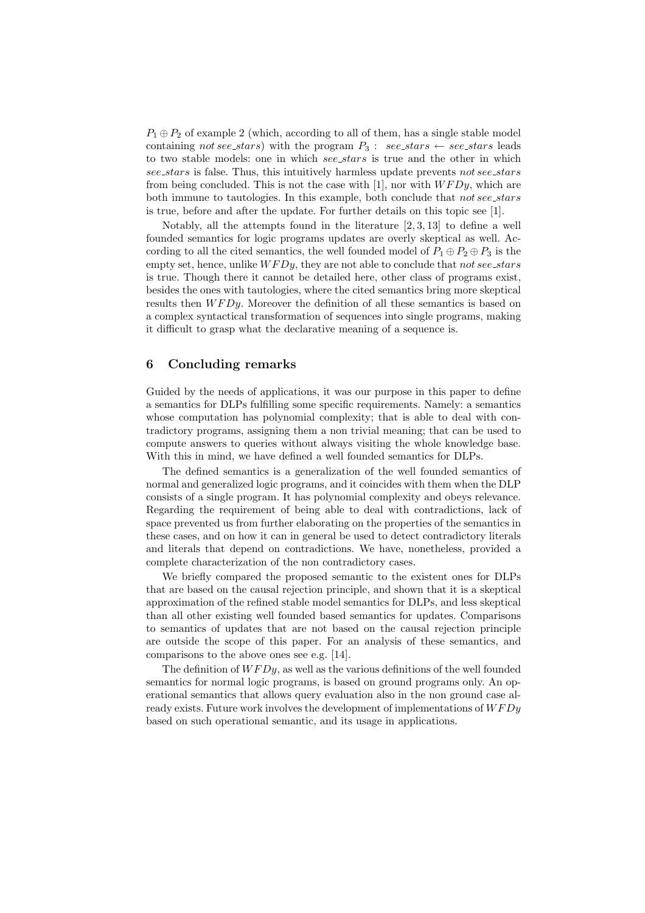$P_1 \oplus P_2$  of example 2 (which, according to all of them, has a single stable model containing not see stars) with the program  $P_3$  : see stars  $\leftarrow$  see stars leads to two stable models: one in which see stars is true and the other in which see\_stars is false. Thus, this intuitively harmless update prevents not see\_stars from being concluded. This is not the case with [1], nor with  $WFDy$ , which are both immune to tautologies. In this example, both conclude that not see stars is true, before and after the update. For further details on this topic see [1].

Notably, all the attempts found in the literature  $[2, 3, 13]$  to define a well founded semantics for logic programs updates are overly skeptical as well. According to all the cited semantics, the well founded model of  $P_1 \oplus P_2 \oplus P_3$  is the empty set, hence, unlike  $WFDy$ , they are not able to conclude that not see\_stars is true. Though there it cannot be detailed here, other class of programs exist, besides the ones with tautologies, where the cited semantics bring more skeptical results then WFDy. Moreover the definition of all these semantics is based on a complex syntactical transformation of sequences into single programs, making it difficult to grasp what the declarative meaning of a sequence is.

# 6 Concluding remarks

Guided by the needs of applications, it was our purpose in this paper to define a semantics for DLPs fulfilling some specific requirements. Namely: a semantics whose computation has polynomial complexity; that is able to deal with contradictory programs, assigning them a non trivial meaning; that can be used to compute answers to queries without always visiting the whole knowledge base. With this in mind, we have defined a well founded semantics for DLPs.

The defined semantics is a generalization of the well founded semantics of normal and generalized logic programs, and it coincides with them when the DLP consists of a single program. It has polynomial complexity and obeys relevance. Regarding the requirement of being able to deal with contradictions, lack of space prevented us from further elaborating on the properties of the semantics in these cases, and on how it can in general be used to detect contradictory literals and literals that depend on contradictions. We have, nonetheless, provided a complete characterization of the non contradictory cases.

We briefly compared the proposed semantic to the existent ones for DLPs that are based on the causal rejection principle, and shown that it is a skeptical approximation of the refined stable model semantics for DLPs, and less skeptical than all other existing well founded based semantics for updates. Comparisons to semantics of updates that are not based on the causal rejection principle are outside the scope of this paper. For an analysis of these semantics, and comparisons to the above ones see e.g. [14].

The definition of  $WFDy$ , as well as the various definitions of the well founded semantics for normal logic programs, is based on ground programs only. An operational semantics that allows query evaluation also in the non ground case already exists. Future work involves the development of implementations of  $WFDu$ based on such operational semantic, and its usage in applications.